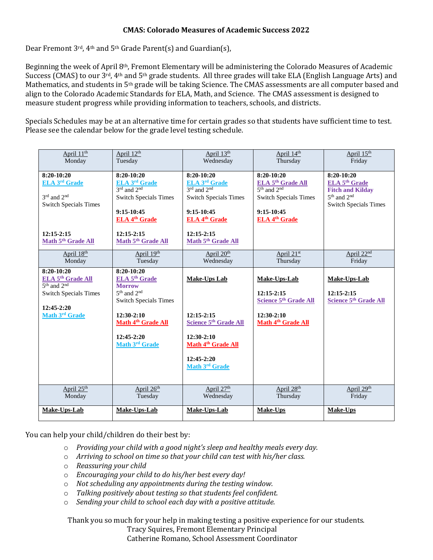## **CMAS: Colorado Measures of Academic Success 2022**

Dear Fremont 3rd, 4th and 5th Grade Parent(s) and Guardian(s),

Beginning the week of April 8th, Fremont Elementary will be administering the Colorado Measures of Academic Success (CMAS) to our 3<sup>rd</sup>, 4<sup>th</sup> and 5<sup>th</sup> grade students. All three grades will take ELA (English Language Arts) and Mathematics, and students in 5th grade will be taking Science. The CMAS assessments are all computer based and align to the Colorado Academic Standards for ELA, Math, and Science. The CMAS assessment is designed to measure student progress while providing information to teachers, schools, and districts.

Specials Schedules may be at an alternative time for certain grades so that students have sufficient time to test. Please see the calendar below for the grade level testing schedule.

| April 11 <sup>th</sup><br>Monday | April 12th<br>Tuesday               | April 13th<br>Wednesday           | April 14th<br>Thursday            | April 15th<br>Friday                |
|----------------------------------|-------------------------------------|-----------------------------------|-----------------------------------|-------------------------------------|
| $8:20-10:20$                     | $8:20-10:20$                        | $8:20-10:20$                      | $8:20-10:20$                      | $8:20-10:20$                        |
| <b>ELA 3rd Grade</b>             | ELA 3rd Grade                       | <b>ELA 3rd Grade</b>              | ELA 5 <sup>th</sup> Grade All     | <b>ELA 5th Grade</b>                |
|                                  | $3^{\text{rd}}$ and $2^{\text{nd}}$ | 3rd and 2nd                       | $5th$ and $2nd$                   | <b>Fitch and Kilday</b>             |
| $3rd$ and $2nd$                  | <b>Switch Specials Times</b>        | <b>Switch Specials Times</b>      | <b>Switch Specials Times</b>      | 5 <sup>th</sup> and 2 <sup>nd</sup> |
| <b>Switch Specials Times</b>     | $9:15-10:45$                        | $9:15-10:45$                      | $9:15-10:45$                      | <b>Switch Specials Times</b>        |
|                                  | <b>ELA 4th Grade</b>                | <b>ELA 4th Grade</b>              | <b>ELA 4th Grade</b>              |                                     |
|                                  |                                     |                                   |                                   |                                     |
| $12:15 - 2:15$                   | $12:15 - 2:15$                      | $12:15 - 2:15$                    |                                   |                                     |
| Math 5th Grade All               | Math 5 <sup>th</sup> Grade All      | Math 5 <sup>th</sup> Grade All    |                                   |                                     |
| April 18th                       | April 19th                          | April 20 <sup>th</sup>            | April 21st                        | April 22 <sup>nd</sup>              |
| Monday                           | Tuesday                             | Wednesday                         | Thursday                          | Friday                              |
| $8:20-10:20$                     | $8:20-10:20$                        |                                   |                                   |                                     |
| ELA 5 <sup>th</sup> Grade All    | <b>ELA 5th Grade</b>                | <b>Make-Ups Lab</b>               | Make-Ups-Lab                      | Make-Ups-Lab                        |
| $\overline{5^{th}$ and $2^{nd}$  | <b>Morrow</b>                       |                                   |                                   |                                     |
| <b>Switch Specials Times</b>     | 5 <sup>th</sup> and 2 <sup>nd</sup> |                                   | $12:15-2:15$                      | $12:15-2:15$                        |
|                                  | <b>Switch Specials Times</b>        |                                   | Science 5 <sup>th</sup> Grade All | Science 5 <sup>th</sup> Grade All   |
| $12:45-2:20$<br>Math 3rd Grade   | $12:30-2:10$                        | $12:15-2:15$                      | $12:30-2:10$                      |                                     |
|                                  | Math 4 <sup>th</sup> Grade All      | Science 5 <sup>th</sup> Grade All | Math 4 <sup>th</sup> Grade All    |                                     |
|                                  |                                     |                                   |                                   |                                     |
|                                  | $12:45-2:20$                        | $12:30-2:10$                      |                                   |                                     |
|                                  | Math 3rd Grade                      | Math 4 <sup>th</sup> Grade All    |                                   |                                     |
|                                  |                                     |                                   |                                   |                                     |
|                                  |                                     | $12:45-2:20$<br>Math 3rd Grade    |                                   |                                     |
|                                  |                                     |                                   |                                   |                                     |
|                                  |                                     |                                   |                                   |                                     |
| April 25 <sup>th</sup>           | April 26 <sup>th</sup>              | April 27 <sup>th</sup>            | April 28th                        | April 29th                          |
| Monday                           | Tuesday                             | Wednesday                         | Thursday                          | Friday                              |
| Make-Ups-Lab                     | Make-Ups-Lab                        | Make-Ups-Lab                      | Make-Ups                          | <b>Make-Ups</b>                     |
|                                  |                                     |                                   |                                   |                                     |

You can help your child/children do their best by:

- o *Providing your child with a good night's sleep and healthy meals every day.*
- o *Arriving to school on time so that your child can test with his/her class.*
- o *Reassuring your child*
- o *Encouraging your child to do his/her best every day!*
- o *Not scheduling any appointments during the testing window.*
- o *Talking positively about testing so that students feel confident.*
- o *Sending your child to school each day with a positive attitude.*

Thank you so much for your help in making testing a positive experience for our students. Tracy Squires, Fremont Elementary Principal

Catherine Romano, School Assessment Coordinator